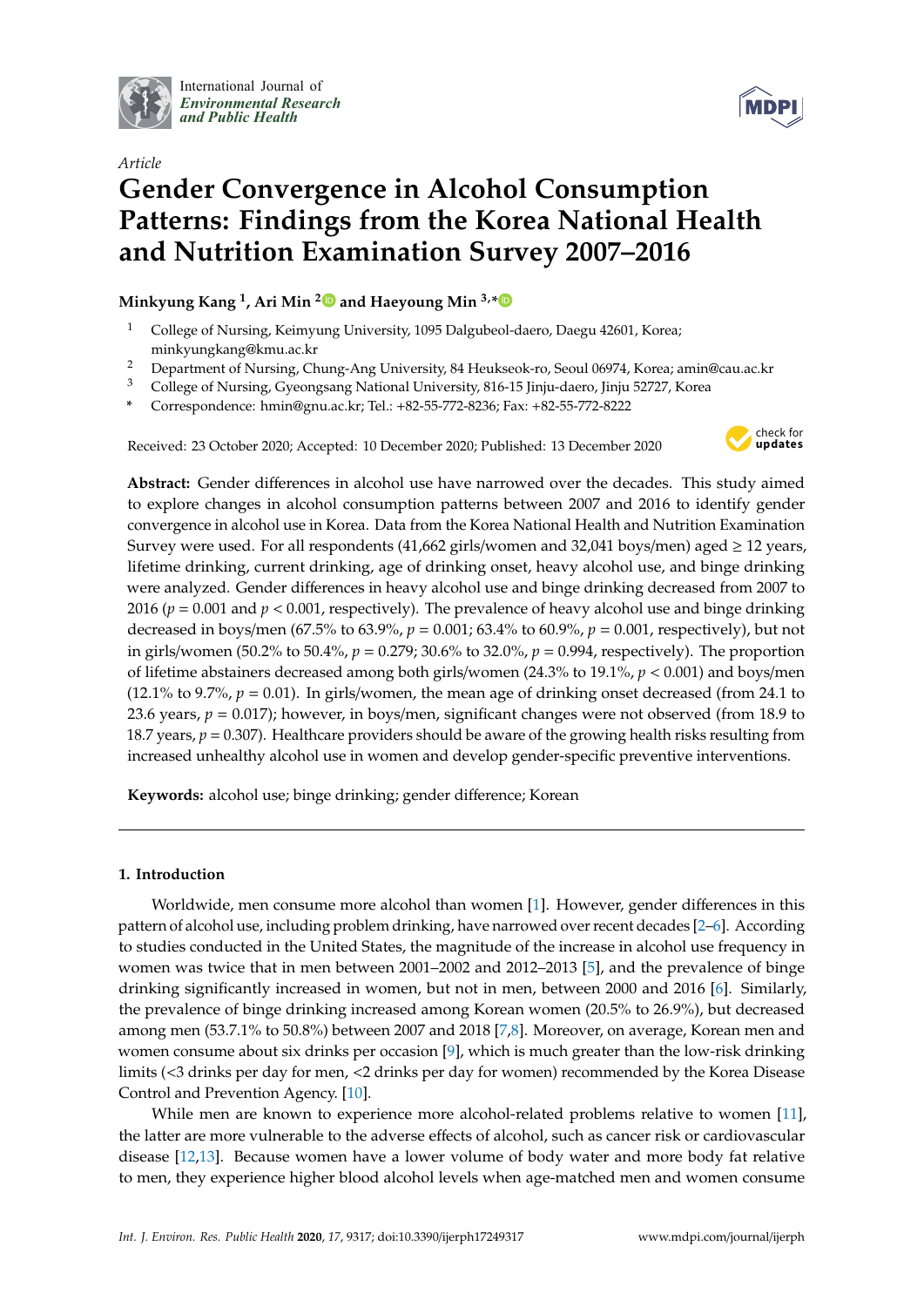

International Journal of *[Environmental Research](http://www.mdpi.com/journal/ijerph) and Public Health*



# *Article* **Gender Convergence in Alcohol Consumption Patterns: Findings from the Korea National Health and Nutrition Examination Survey 2007–2016**

# **Minkyung Kang <sup>1</sup> , Ari Min [2](https://orcid.org/0000-0002-5151-0559) and Haeyoung Min 3,[\\*](https://orcid.org/0000-0003-4013-9886)**

- <sup>1</sup> College of Nursing, Keimyung University, 1095 Dalgubeol-daero, Daegu 42601, Korea; minkyungkang@kmu.ac.kr
- <sup>2</sup> Department of Nursing, Chung-Ang University, 84 Heukseok-ro, Seoul 06974, Korea; amin@cau.ac.kr
- <sup>3</sup> College of Nursing, Gyeongsang National University, 816-15 Jinju-daero, Jinju 52727, Korea
- **\*** Correspondence: hmin@gnu.ac.kr; Tel.: +82-55-772-8236; Fax: +82-55-772-8222

Received: 23 October 2020; Accepted: 10 December 2020; Published: 13 December 2020



**Abstract:** Gender differences in alcohol use have narrowed over the decades. This study aimed to explore changes in alcohol consumption patterns between 2007 and 2016 to identify gender convergence in alcohol use in Korea. Data from the Korea National Health and Nutrition Examination Survey were used. For all respondents (41,662 girls/women and 32,041 boys/men) aged  $\geq$  12 years, lifetime drinking, current drinking, age of drinking onset, heavy alcohol use, and binge drinking were analyzed. Gender differences in heavy alcohol use and binge drinking decreased from 2007 to 2016 (*p* = 0.001 and *p* < 0.001, respectively). The prevalence of heavy alcohol use and binge drinking decreased in boys/men (67.5% to 63.9%, *p* = 0.001; 63.4% to 60.9%, *p* = 0.001, respectively), but not in girls/women (50.2% to 50.4%, *p* = 0.279; 30.6% to 32.0%, *p* = 0.994, respectively). The proportion of lifetime abstainers decreased among both girls/women (24.3% to 19.1%, *p* < 0.001) and boys/men (12.1% to 9.7%,  $p = 0.01$ ). In girls/women, the mean age of drinking onset decreased (from 24.1 to 23.6 years, *p* = 0.017); however, in boys/men, significant changes were not observed (from 18.9 to 18.7 years, *p* = 0.307). Healthcare providers should be aware of the growing health risks resulting from increased unhealthy alcohol use in women and develop gender-specific preventive interventions.

**Keywords:** alcohol use; binge drinking; gender difference; Korean

# **1. Introduction**

Worldwide, men consume more alcohol than women [\[1\]](#page-8-0). However, gender differences in this pattern of alcohol use, including problem drinking, have narrowed over recent decades [\[2–](#page-8-1)[6\]](#page-8-2). According to studies conducted in the United States, the magnitude of the increase in alcohol use frequency in women was twice that in men between 2001–2002 and 2012–2013 [\[5\]](#page-8-3), and the prevalence of binge drinking significantly increased in women, but not in men, between 2000 and 2016 [\[6\]](#page-8-2). Similarly, the prevalence of binge drinking increased among Korean women (20.5% to 26.9%), but decreased among men (53.7.1% to 50.8%) between 2007 and 2018 [\[7](#page-8-4)[,8\]](#page-8-5). Moreover, on average, Korean men and women consume about six drinks per occasion [\[9\]](#page-8-6), which is much greater than the low-risk drinking limits (<3 drinks per day for men, <2 drinks per day for women) recommended by the Korea Disease Control and Prevention Agency. [\[10\]](#page-8-7).

While men are known to experience more alcohol-related problems relative to women [\[11\]](#page-8-8), the latter are more vulnerable to the adverse effects of alcohol, such as cancer risk or cardiovascular disease [\[12](#page-8-9)[,13\]](#page-8-10). Because women have a lower volume of body water and more body fat relative to men, they experience higher blood alcohol levels when age-matched men and women consume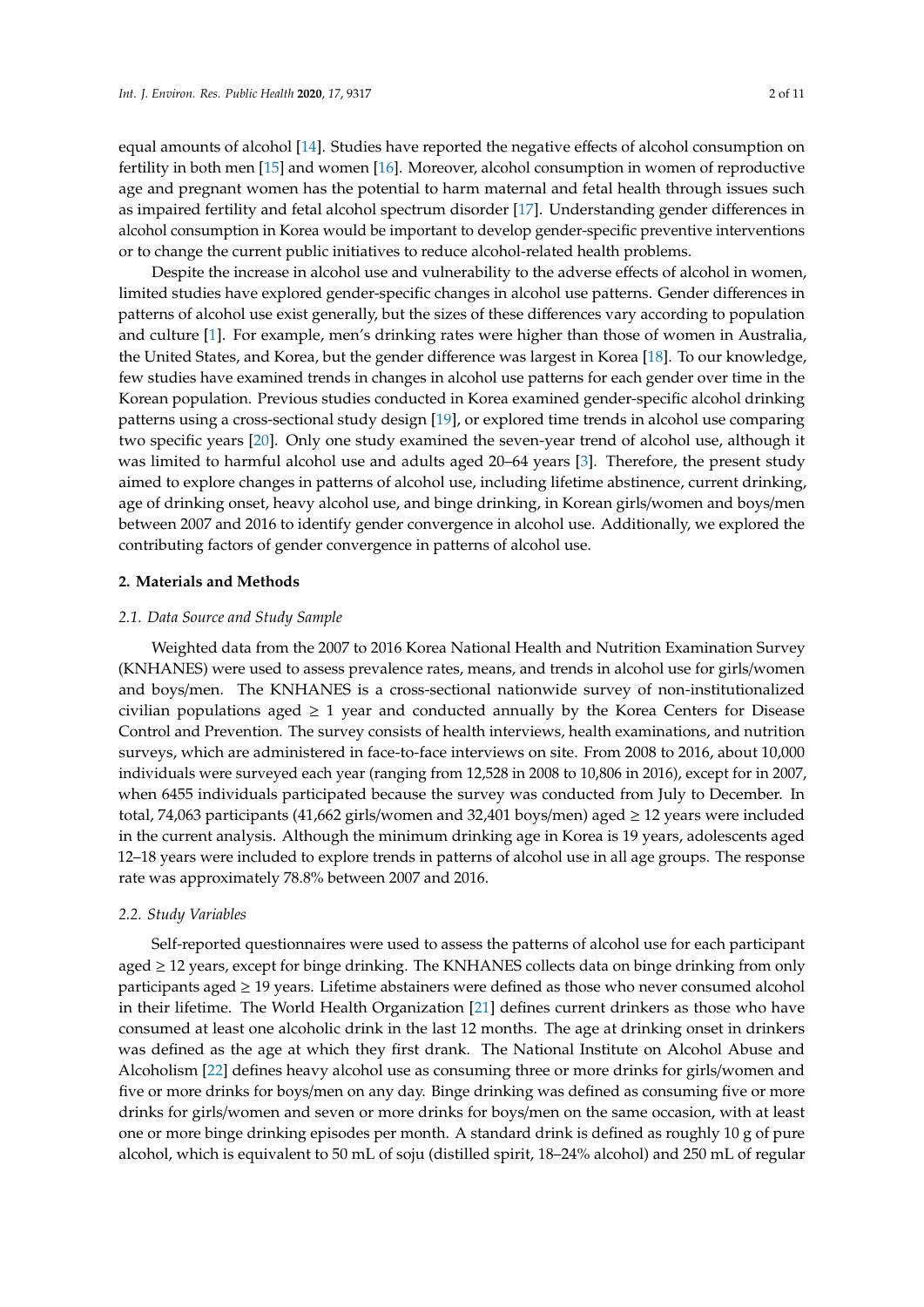equal amounts of alcohol [\[14\]](#page-8-11). Studies have reported the negative effects of alcohol consumption on fertility in both men [\[15\]](#page-8-12) and women [\[16\]](#page-9-0). Moreover, alcohol consumption in women of reproductive age and pregnant women has the potential to harm maternal and fetal health through issues such as impaired fertility and fetal alcohol spectrum disorder [\[17\]](#page-9-1). Understanding gender differences in alcohol consumption in Korea would be important to develop gender-specific preventive interventions or to change the current public initiatives to reduce alcohol-related health problems.

Despite the increase in alcohol use and vulnerability to the adverse effects of alcohol in women, limited studies have explored gender-specific changes in alcohol use patterns. Gender differences in patterns of alcohol use exist generally, but the sizes of these differences vary according to population and culture [\[1\]](#page-8-0). For example, men's drinking rates were higher than those of women in Australia, the United States, and Korea, but the gender difference was largest in Korea [\[18\]](#page-9-2). To our knowledge, few studies have examined trends in changes in alcohol use patterns for each gender over time in the Korean population. Previous studies conducted in Korea examined gender-specific alcohol drinking patterns using a cross-sectional study design [\[19\]](#page-9-3), or explored time trends in alcohol use comparing two specific years [\[20\]](#page-9-4). Only one study examined the seven-year trend of alcohol use, although it was limited to harmful alcohol use and adults aged 20–64 years [\[3\]](#page-8-13). Therefore, the present study aimed to explore changes in patterns of alcohol use, including lifetime abstinence, current drinking, age of drinking onset, heavy alcohol use, and binge drinking, in Korean girls/women and boys/men between 2007 and 2016 to identify gender convergence in alcohol use. Additionally, we explored the contributing factors of gender convergence in patterns of alcohol use.

#### **2. Materials and Methods**

### *2.1. Data Source and Study Sample*

Weighted data from the 2007 to 2016 Korea National Health and Nutrition Examination Survey (KNHANES) were used to assess prevalence rates, means, and trends in alcohol use for girls/women and boys/men. The KNHANES is a cross-sectional nationwide survey of non-institutionalized civilian populations aged  $\geq 1$  year and conducted annually by the Korea Centers for Disease Control and Prevention. The survey consists of health interviews, health examinations, and nutrition surveys, which are administered in face-to-face interviews on site. From 2008 to 2016, about 10,000 individuals were surveyed each year (ranging from 12,528 in 2008 to 10,806 in 2016), except for in 2007, when 6455 individuals participated because the survey was conducted from July to December. In total, 74,063 participants (41,662 girls/women and 32,401 boys/men) aged ≥ 12 years were included in the current analysis. Although the minimum drinking age in Korea is 19 years, adolescents aged 12–18 years were included to explore trends in patterns of alcohol use in all age groups. The response rate was approximately 78.8% between 2007 and 2016.

#### *2.2. Study Variables*

Self-reported questionnaires were used to assess the patterns of alcohol use for each participant aged  $\geq$  12 years, except for binge drinking. The KNHANES collects data on binge drinking from only participants aged ≥ 19 years. Lifetime abstainers were defined as those who never consumed alcohol in their lifetime. The World Health Organization [\[21\]](#page-9-5) defines current drinkers as those who have consumed at least one alcoholic drink in the last 12 months. The age at drinking onset in drinkers was defined as the age at which they first drank. The National Institute on Alcohol Abuse and Alcoholism [\[22\]](#page-9-6) defines heavy alcohol use as consuming three or more drinks for girls/women and five or more drinks for boys/men on any day. Binge drinking was defined as consuming five or more drinks for girls/women and seven or more drinks for boys/men on the same occasion, with at least one or more binge drinking episodes per month. A standard drink is defined as roughly 10 g of pure alcohol, which is equivalent to 50 mL of soju (distilled spirit, 18–24% alcohol) and 250 mL of regular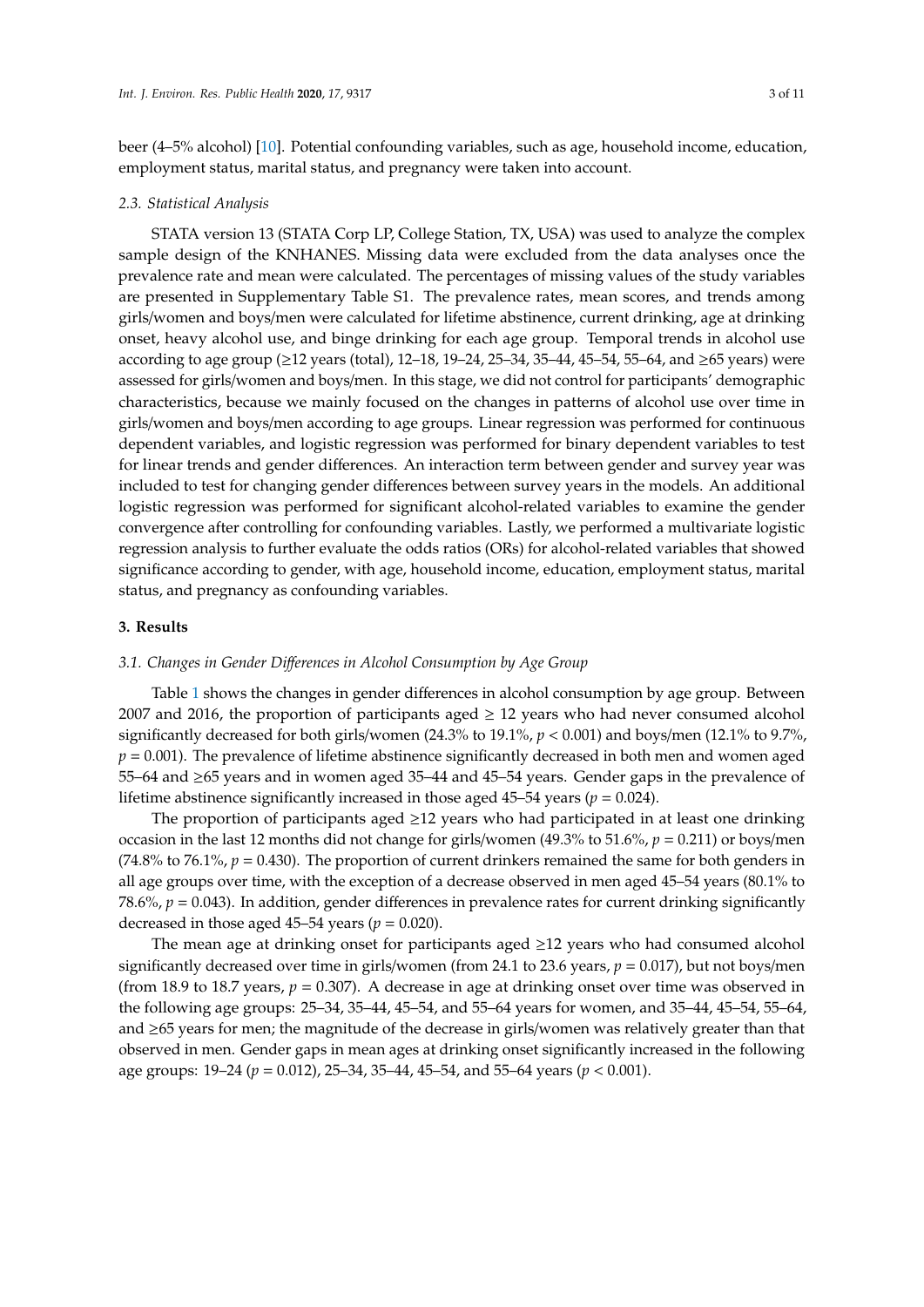beer (4–5% alcohol) [\[10\]](#page-8-7). Potential confounding variables, such as age, household income, education, employment status, marital status, and pregnancy were taken into account.

#### *2.3. Statistical Analysis*

STATA version 13 (STATA Corp LP, College Station, TX, USA) was used to analyze the complex sample design of the KNHANES. Missing data were excluded from the data analyses once the prevalence rate and mean were calculated. The percentages of missing values of the study variables are presented in Supplementary Table S1. The prevalence rates, mean scores, and trends among girls/women and boys/men were calculated for lifetime abstinence, current drinking, age at drinking onset, heavy alcohol use, and binge drinking for each age group. Temporal trends in alcohol use according to age group (≥12 years (total), 12–18, 19–24, 25–34, 35–44, 45–54, 55–64, and ≥65 years) were assessed for girls/women and boys/men. In this stage, we did not control for participants' demographic characteristics, because we mainly focused on the changes in patterns of alcohol use over time in girls/women and boys/men according to age groups. Linear regression was performed for continuous dependent variables, and logistic regression was performed for binary dependent variables to test for linear trends and gender differences. An interaction term between gender and survey year was included to test for changing gender differences between survey years in the models. An additional logistic regression was performed for significant alcohol-related variables to examine the gender convergence after controlling for confounding variables. Lastly, we performed a multivariate logistic regression analysis to further evaluate the odds ratios (ORs) for alcohol-related variables that showed significance according to gender, with age, household income, education, employment status, marital status, and pregnancy as confounding variables.

## **3. Results**

### *3.1. Changes in Gender Di*ff*erences in Alcohol Consumption by Age Group*

Table [1](#page-3-0) shows the changes in gender differences in alcohol consumption by age group. Between 2007 and 2016, the proportion of participants aged  $\geq$  12 years who had never consumed alcohol significantly decreased for both girls/women (24.3% to 19.1%, *p* < 0.001) and boys/men (12.1% to 9.7%,  $p = 0.001$ ). The prevalence of lifetime abstinence significantly decreased in both men and women aged 55–64 and ≥65 years and in women aged 35–44 and 45–54 years. Gender gaps in the prevalence of lifetime abstinence significantly increased in those aged  $45-54$  years ( $p = 0.024$ ).

The proportion of participants aged  $\geq$ 12 years who had participated in at least one drinking occasion in the last 12 months did not change for girls/women (49.3% to 51.6%, *p* = 0.211) or boys/men (74.8% to 76.1%,  $p = 0.430$ ). The proportion of current drinkers remained the same for both genders in all age groups over time, with the exception of a decrease observed in men aged 45–54 years (80.1% to 78.6%,  $p = 0.043$ ). In addition, gender differences in prevalence rates for current drinking significantly decreased in those aged  $45-54$  years ( $p = 0.020$ ).

The mean age at drinking onset for participants aged  $\geq$ 12 years who had consumed alcohol significantly decreased over time in girls/women (from 24.1 to 23.6 years, *p* = 0.017), but not boys/men (from 18.9 to 18.7 years,  $p = 0.307$ ). A decrease in age at drinking onset over time was observed in the following age groups: 25–34, 35–44, 45–54, and 55–64 years for women, and 35–44, 45–54, 55–64, and ≥65 years for men; the magnitude of the decrease in girls/women was relatively greater than that observed in men. Gender gaps in mean ages at drinking onset significantly increased in the following age groups: 19–24 (*p* = 0.012), 25–34, 35–44, 45–54, and 55–64 years (*p* < 0.001).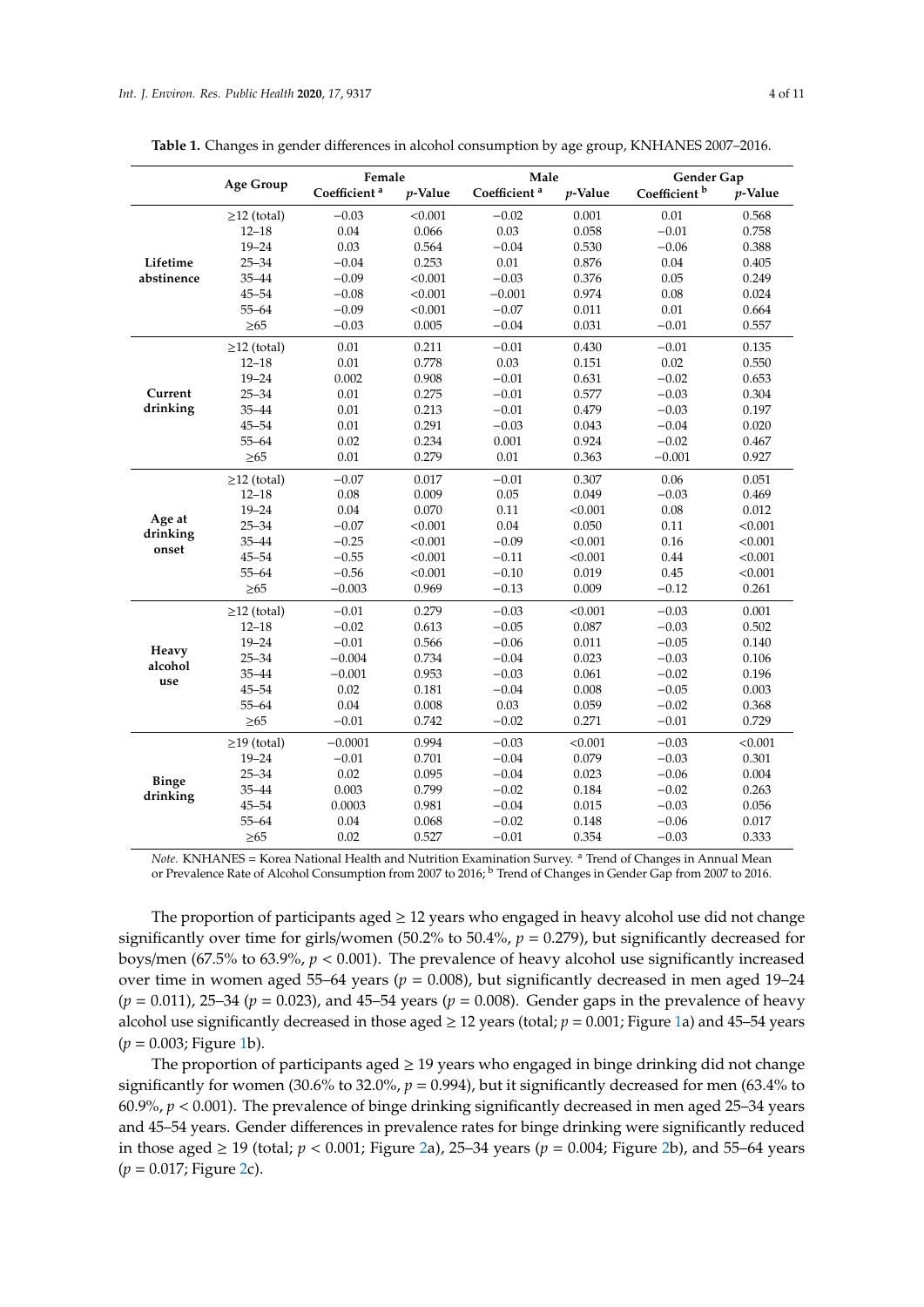| 4 of 1 |  |
|--------|--|
|        |  |
|        |  |

|                    |                   | Female                   |            | Male                     |            | Gender Gap               |            |  |
|--------------------|-------------------|--------------------------|------------|--------------------------|------------|--------------------------|------------|--|
|                    | Age Group         | Coefficient <sup>a</sup> | $p$ -Value | Coefficient <sup>a</sup> | $p$ -Value | Coefficient <sup>b</sup> | $p$ -Value |  |
|                    | $\geq$ 12 (total) | $-0.03$                  | < 0.001    | $-0.02$                  | 0.001      | 0.01                     | 0.568      |  |
|                    | $12 - 18$         | 0.04                     | 0.066      | 0.03                     | 0.058      | $-0.01$                  | 0.758      |  |
|                    | $19 - 24$         | 0.03                     | 0.564      | $-0.04$                  | 0.530      | $-0.06$                  | 0.388      |  |
| Lifetime           | $25 - 34$         | $-0.04$                  | 0.253      | 0.01                     | 0.876      | 0.04                     | 0.405      |  |
| abstinence         | 35-44             | $-0.09$                  | < 0.001    | $-0.03$                  | 0.376      | 0.05                     | 0.249      |  |
|                    | $45 - 54$         | $-0.08$                  | < 0.001    | $-0.001$                 | 0.974      | 0.08                     | 0.024      |  |
|                    | $55 - 64$         | $-0.09$                  | < 0.001    | $-0.07$                  | 0.011      | 0.01                     | 0.664      |  |
|                    | $\geq 65$         | $-0.03$                  | 0.005      | $-0.04$                  | 0.031      | $-0.01$                  | 0.557      |  |
|                    | $\geq$ 12 (total) | 0.01                     | 0.211      | $-0.01$                  | 0.430      | $-0.01$                  | 0.135      |  |
|                    | $12 - 18$         | 0.01                     | 0.778      | 0.03                     | 0.151      | 0.02                     | 0.550      |  |
|                    | $19 - 24$         | 0.002                    | 0.908      | $-0.01$                  | 0.631      | $-0.02$                  | 0.653      |  |
| Current            | $25 - 34$         | 0.01                     | 0.275      | $-0.01$                  | 0.577      | $-0.03$                  | 0.304      |  |
| drinking           | $35 - 44$         | 0.01                     | 0.213      | $-0.01$                  | 0.479      | $-0.03$                  | 0.197      |  |
|                    | $45 - 54$         | 0.01                     | 0.291      | $-0.03$                  | 0.043      | $-0.04$                  | 0.020      |  |
|                    | $55 - 64$         | 0.02                     | 0.234      | 0.001                    | 0.924      | $-0.02$                  | 0.467      |  |
|                    | $\geq 65$         | 0.01                     | 0.279      | 0.01                     | 0.363      | $-0.001$                 | 0.927      |  |
|                    | $\geq$ 12 (total) | $-0.07$                  | 0.017      | $-0.01$                  | 0.307      | 0.06                     | 0.051      |  |
|                    | $12 - 18$         | 0.08                     | 0.009      | 0.05                     | 0.049      | $-0.03$                  | 0.469      |  |
|                    | $19 - 24$         | 0.04                     | 0.070      | 0.11                     | < 0.001    | 0.08                     | 0.012      |  |
| Age at<br>drinking | $25 - 34$         | $-0.07$                  | < 0.001    | 0.04                     | 0.050      | 0.11                     | < 0.001    |  |
| onset              | $35 - 44$         | $-0.25$                  | < 0.001    | $-0.09$                  | < 0.001    | 0.16                     | < 0.001    |  |
|                    | $45 - 54$         | $-0.55$                  | < 0.001    | $-0.11$                  | < 0.001    | 0.44                     | < 0.001    |  |
|                    | $55 - 64$         | $-0.56$                  | < 0.001    | $-0.10$                  | 0.019      | 0.45                     | < 0.001    |  |
|                    | $\geq 65$         | $-0.003$                 | 0.969      | $-0.13$                  | 0.009      | $-0.12$                  | 0.261      |  |
|                    | $\geq$ 12 (total) | $-0.01$                  | 0.279      | $-0.03$                  | < 0.001    | $-0.03$                  | 0.001      |  |
|                    | $12 - 18$         | $-0.02$                  | 0.613      | $-0.05$                  | 0.087      | $-0.03$                  | 0.502      |  |
| Heavy              | $19 - 24$         | $-0.01$                  | 0.566      | $-0.06$                  | 0.011      | $-0.05$                  | 0.140      |  |
| alcohol            | $25 - 34$         | $-0.004$                 | 0.734      | $-0.04$                  | 0.023      | $-0.03$                  | 0.106      |  |
| use                | 35-44             | $-0.001$                 | 0.953      | $-0.03$                  | 0.061      | $-0.02$                  | 0.196      |  |
|                    | $45 - 54$         | 0.02                     | 0.181      | $-0.04$                  | 0.008      | $-0.05$                  | 0.003      |  |
|                    | $55 - 64$         | 0.04                     | 0.008      | 0.03                     | 0.059      | $-0.02$                  | 0.368      |  |
|                    | $\geq 65$         | $-0.01$                  | 0.742      | $-0.02$                  | 0.271      | $-0.01$                  | 0.729      |  |
|                    | $\geq$ 19 (total) | $-0.0001$                | 0.994      | $-0.03$                  | < 0.001    | $-0.03$                  | < 0.001    |  |
|                    | $19 - 24$         | $-0.01$                  | 0.701      | $-0.04$                  | 0.079      | $-0.03$                  | 0.301      |  |
| <b>Binge</b>       | $25 - 34$         | 0.02                     | 0.095      | $-0.04$                  | 0.023      | $-0.06$                  | 0.004      |  |
| drinking           | $35 - 44$         | 0.003                    | 0.799      | $-0.02$                  | 0.184      | $-0.02$                  | 0.263      |  |
|                    | $45 - 54$         | 0.0003                   | 0.981      | $-0.04$                  | 0.015      | $-0.03$                  | 0.056      |  |
|                    | $55 - 64$         | 0.04                     | 0.068      | $-0.02$                  | 0.148      | $-0.06$                  | 0.017      |  |
|                    | $\geq 65$         | 0.02                     | 0.527      | $-0.01$                  | 0.354      | $-0.03$                  | 0.333      |  |

<span id="page-3-0"></span>**Table 1.** Changes in gender differences in alcohol consumption by age group, KNHANES 2007–2016.

*Note.* KNHANES = Korea National Health and Nutrition Examination Survey. <sup>a</sup> Trend of Changes in Annual Mean or Prevalence Rate of Alcohol Consumption from 2007 to 2016; <sup>b</sup> Trend of Changes in Gender Gap from 2007 to 2016.

The proportion of participants aged  $\geq 12$  years who engaged in heavy alcohol use did not change significantly over time for girls/women (50.2% to 50.4%, *p* = 0.279), but significantly decreased for boys/men (67.5% to 63.9%, *p* < 0.001). The prevalence of heavy alcohol use significantly increased over time in women aged 55–64 years ( $p = 0.008$ ), but significantly decreased in men aged 19–24 (*p* = 0.011), 25–34 (*p* = 0.023), and 45–54 years (*p* = 0.008). Gender gaps in the prevalence of heavy alcohol use significantly decreased in those aged  $\geq$  12 years (total;  $p = 0.001$ ; Figure [1a](#page-4-0)) and 45–54 years (*p* = 0.003; Figure [1b](#page-4-0)).

The proportion of participants aged  $\geq$  19 years who engaged in binge drinking did not change significantly for women (30.6% to 32.0%, *p* = 0.994), but it significantly decreased for men (63.4% to 60.9%, *p* < 0.001). The prevalence of binge drinking significantly decreased in men aged 25–34 years and 45–54 years. Gender differences in prevalence rates for binge drinking were significantly reduced in those aged  $\geq 19$  (total;  $p < 0.001$ ; Figure [2a](#page-4-1)), 25–34 years ( $p = 0.004$ ; Figure [2b](#page-4-1)), and 55–64 years (*p* = 0.017; Figure [2c](#page-4-1)).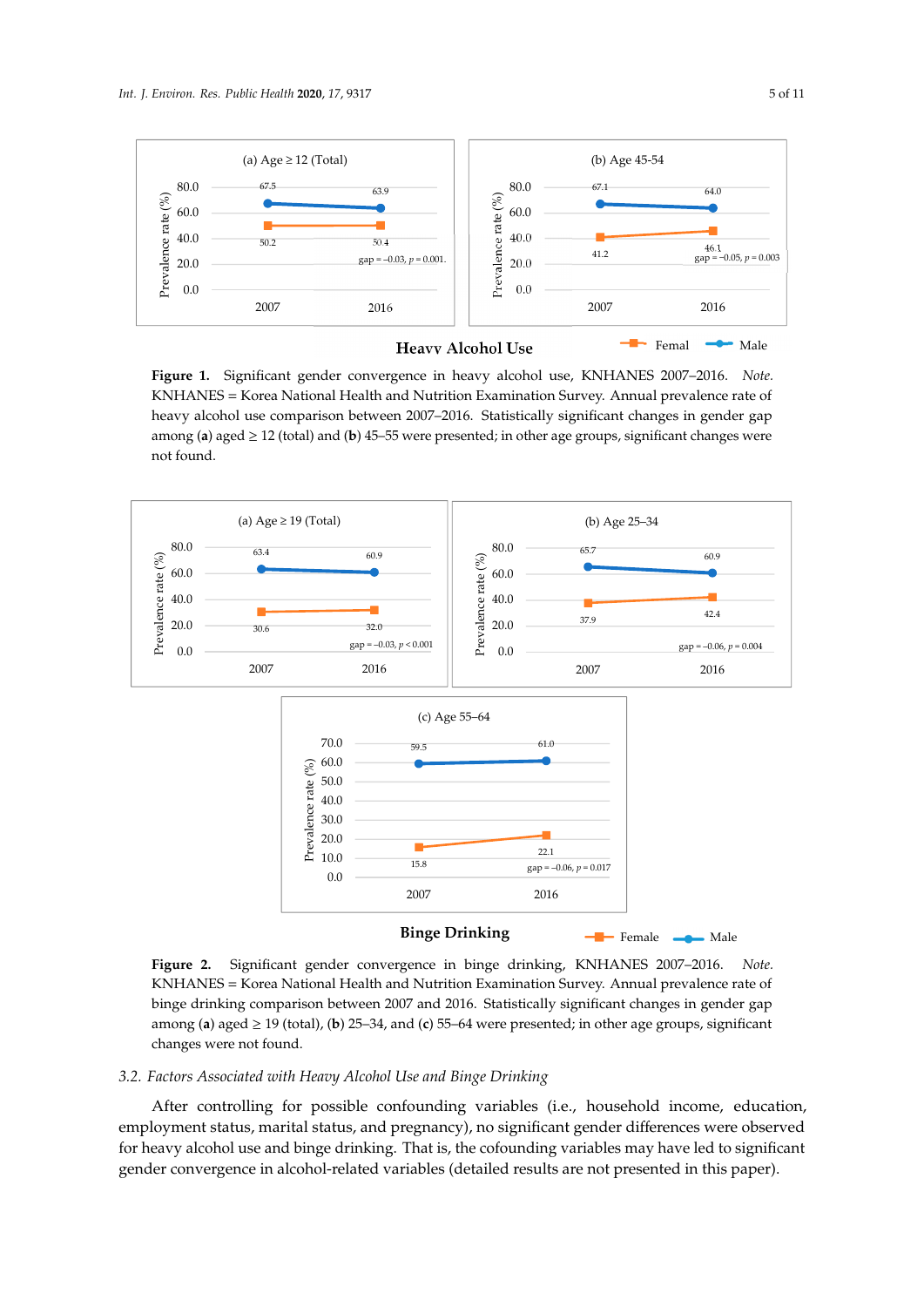<span id="page-4-0"></span>

Figure 1. Significant gender convergence in heavy alcohol use, KNHANES 2007–2016. Note. KNHANES = Korea National Health and Nutrition Examination Survey. Annual prevalence rate of heavy alcohol use comparison between 2007-2016. Statistically significant changes in gender gap among (a) aged  $\geq$  12 (total) and (b) 45–55 were presented; in other age groups, significant changes were not found.  $\begin{array}{ccc} 0 \vee & 0 & - & \vee & \vee & \vee & 1 \end{array}$ 

<span id="page-4-1"></span>

KNHANES = Korea National Health and Nutrition Examination Survey. Annual prevalence rate of binge drinking comparison between 2007 and 2016. Statistically significant changes in gender gap among (a) aged  $\geq$  19 (total), (b) 25–34, and (c) 55–64 were presented; in other age groups, significant changes were not found. changes were not found. **Figure 2.** Significant gender convergence in binge drinking, KNHANES 2007–2016. *Note.*

# found. *3.2. Factors Associated with Heavy Alcohol Use and Binge Drinking*

*3.2. Factors Associated with Heavy Alcohol Use and Binge Drinking 3.2. Factors Associated with Heavy Alcohol Use and Binge Drinking*  employment status, marital status, and pregnancy), no significant gender differences were observed for heavy alcohol use and binge drinking. That is, the cofounding variables may have led to significant gender convergence in alcohol-related variables (detailed results are not presented in this paper). After controlling for possible confounding variables (i.e., household income, education,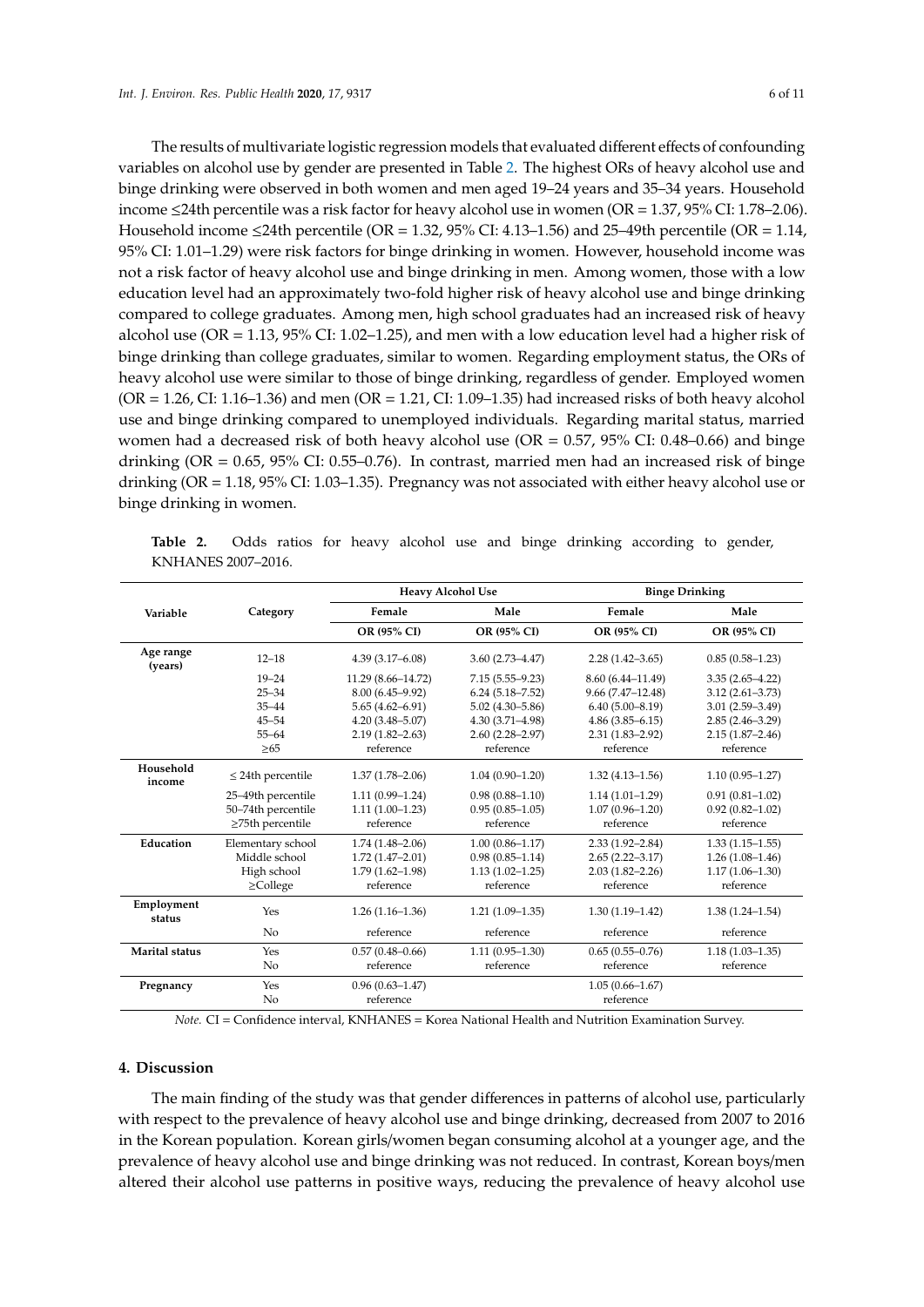The results of multivariate logistic regression models that evaluated different effects of confounding variables on alcohol use by gender are presented in Table [2.](#page-5-0) The highest ORs of heavy alcohol use and binge drinking were observed in both women and men aged 19–24 years and 35–34 years. Household income ≤24th percentile was a risk factor for heavy alcohol use in women (OR = 1.37, 95% CI: 1.78–2.06). Household income  $\leq$ 24th percentile (OR = 1.32, 95% CI: 4.13–1.56) and 25–49th percentile (OR = 1.14, 95% CI: 1.01–1.29) were risk factors for binge drinking in women. However, household income was not a risk factor of heavy alcohol use and binge drinking in men. Among women, those with a low education level had an approximately two-fold higher risk of heavy alcohol use and binge drinking compared to college graduates. Among men, high school graduates had an increased risk of heavy alcohol use (OR = 1.13, 95% CI: 1.02–1.25), and men with a low education level had a higher risk of binge drinking than college graduates, similar to women. Regarding employment status, the ORs of heavy alcohol use were similar to those of binge drinking, regardless of gender. Employed women  $(OR = 1.26, CI: 1.16-1.36)$  and men  $(OR = 1.21, CI: 1.09-1.35)$  had increased risks of both heavy alcohol use and binge drinking compared to unemployed individuals. Regarding marital status, married women had a decreased risk of both heavy alcohol use ( $OR = 0.57$ ,  $95\%$  CI: 0.48-0.66) and binge drinking (OR = 0.65, 95% CI: 0.55–0.76). In contrast, married men had an increased risk of binge drinking (OR = 1.18, 95% CI: 1.03–1.35). Pregnancy was not associated with either heavy alcohol use or binge drinking in women.

<span id="page-5-0"></span>

|  |                    |  |  |  |  | Table 2. Odds ratios for heavy alcohol use and binge drinking according to gender, |  |
|--|--------------------|--|--|--|--|------------------------------------------------------------------------------------|--|
|  | KNHANES 2007-2016. |  |  |  |  |                                                                                    |  |

|                      |                        | <b>Heavy Alcohol Use</b> |                                            | <b>Binge Drinking</b> |                     |  |  |  |
|----------------------|------------------------|--------------------------|--------------------------------------------|-----------------------|---------------------|--|--|--|
| Variable             | Category               | Female                   | Male                                       | Female                | Male                |  |  |  |
|                      |                        | OR (95% CI)              | OR (95% CI)                                | OR (95% CI)           | OR (95% CI)         |  |  |  |
| Age range<br>(years) | $12 - 18$              | $4.39(3.17 - 6.08)$      | $3.60(2.73 - 4.47)$                        | $2.28(1.42 - 3.65)$   | $0.85(0.58 - 1.23)$ |  |  |  |
|                      | $19 - 24$              | 11.29 (8.66-14.72)       | $7.15(5.55 - 9.23)$                        | 8.60 (6.44-11.49)     | $3.35(2.65 - 4.22)$ |  |  |  |
|                      | $25 - 34$              | 8.00 (6.45-9.92)         | $6.24(5.18 - 7.52)$                        | $9.66(7.47-12.48)$    | $3.12(2.61 - 3.73)$ |  |  |  |
|                      | $35 - 44$              | $5.65(4.62 - 6.91)$      | $5.02(4.30 - 5.86)$                        | $6.40(5.00 - 8.19)$   | $3.01(2.59 - 3.49)$ |  |  |  |
|                      | $45 - 54$              | $4.20(3.48 - 5.07)$      | $4.30(3.71 - 4.98)$                        | $4.86(3.85 - 6.15)$   | $2.85(2.46 - 3.29)$ |  |  |  |
|                      | $55 - 64$              | $2.19(1.82 - 2.63)$      | $2.60(2.28 - 2.97)$                        | $2.31(1.83 - 2.92)$   | $2.15(1.87 - 2.46)$ |  |  |  |
|                      | $\geq 65$              | reference                | reference                                  | reference             | reference           |  |  |  |
| Household<br>income  | $\leq$ 24th percentile | $1.37(1.78 - 2.06)$      | $1.04(0.90 - 1.20)$                        | $1.32(4.13 - 1.56)$   | $1.10(0.95 - 1.27)$ |  |  |  |
|                      | 25-49th percentile     | $1.11(0.99 - 1.24)$      | $0.98(0.88 - 1.10)$                        | $1.14(1.01 - 1.29)$   | $0.91(0.81 - 1.02)$ |  |  |  |
|                      | 50-74th percentile     | $1.11(1.00-1.23)$        | $0.95(0.85 - 1.05)$                        | $1.07(0.96 - 1.20)$   | $0.92(0.82 - 1.02)$ |  |  |  |
|                      | $\geq$ 75th percentile | reference                | reference                                  | reference             | reference           |  |  |  |
| Education            | Elementary school      | $1.74(1.48 - 2.06)$      | $1.00(0.86 - 1.17)$                        | $2.33(1.92 - 2.84)$   | $1.33(1.15-1.55)$   |  |  |  |
|                      | Middle school          | $1.72(1.47-2.01)$        | $0.98(0.85 - 1.14)$<br>$2.65(2.22 - 3.17)$ |                       | $1.26(1.08-1.46)$   |  |  |  |
|                      | High school            | $1.79(1.62 - 1.98)$      | $1.13(1.02 - 1.25)$                        | $2.03(1.82 - 2.26)$   | $1.17(1.06 - 1.30)$ |  |  |  |
|                      | $\geq$ College         | reference                | reference                                  | reference             | reference           |  |  |  |
| Employment<br>status | Yes                    | $1.26(1.16-1.36)$        | $1.21(1.09-1.35)$                          | $1.30(1.19 - 1.42)$   | $1.38(1.24 - 1.54)$ |  |  |  |
|                      | No                     | reference                | reference                                  | reference             | reference           |  |  |  |
| Marital status       | Yes                    | $0.57(0.48 - 0.66)$      | $1.11(0.95 - 1.30)$                        | $0.65(0.55-0.76)$     | $1.18(1.03 - 1.35)$ |  |  |  |
|                      | N <sub>0</sub>         | reference                | reference<br>reference                     |                       | reference           |  |  |  |
| Pregnancy            | Yes                    | $0.96(0.63 - 1.47)$      |                                            | $1.05(0.66 - 1.67)$   |                     |  |  |  |
|                      | No                     | reference                |                                            | reference             |                     |  |  |  |

*Note.* CI = Confidence interval, KNHANES = Korea National Health and Nutrition Examination Survey.

#### **4. Discussion**

The main finding of the study was that gender differences in patterns of alcohol use, particularly with respect to the prevalence of heavy alcohol use and binge drinking, decreased from 2007 to 2016 in the Korean population. Korean girls/women began consuming alcohol at a younger age, and the prevalence of heavy alcohol use and binge drinking was not reduced. In contrast, Korean boys/men altered their alcohol use patterns in positive ways, reducing the prevalence of heavy alcohol use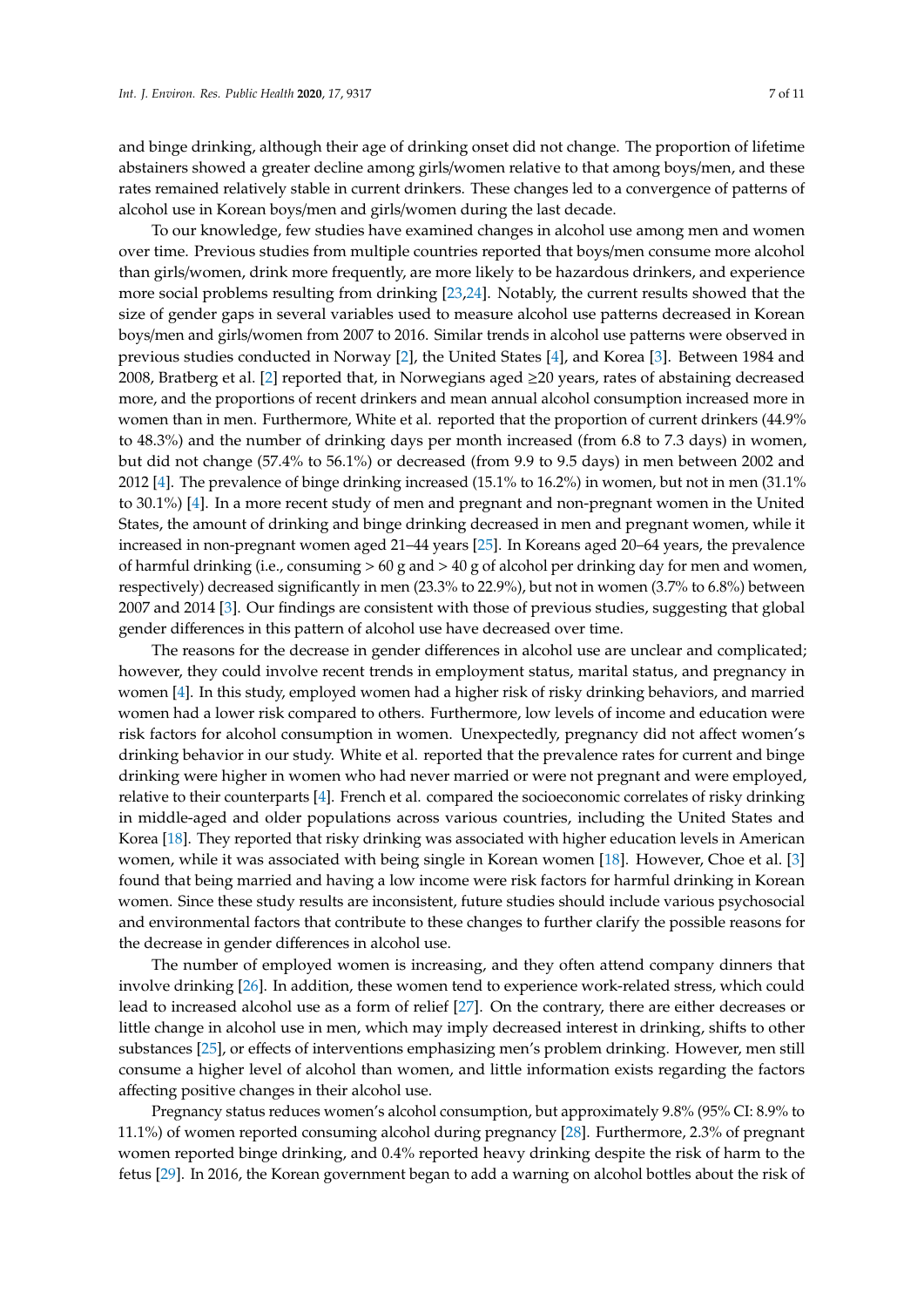and binge drinking, although their age of drinking onset did not change. The proportion of lifetime abstainers showed a greater decline among girls/women relative to that among boys/men, and these rates remained relatively stable in current drinkers. These changes led to a convergence of patterns of alcohol use in Korean boys/men and girls/women during the last decade.

To our knowledge, few studies have examined changes in alcohol use among men and women over time. Previous studies from multiple countries reported that boys/men consume more alcohol than girls/women, drink more frequently, are more likely to be hazardous drinkers, and experience more social problems resulting from drinking [\[23,](#page-9-7)[24\]](#page-9-8). Notably, the current results showed that the size of gender gaps in several variables used to measure alcohol use patterns decreased in Korean boys/men and girls/women from 2007 to 2016. Similar trends in alcohol use patterns were observed in previous studies conducted in Norway [\[2\]](#page-8-1), the United States [\[4\]](#page-8-14), and Korea [\[3\]](#page-8-13). Between 1984 and 2008, Bratberg et al. [\[2\]](#page-8-1) reported that, in Norwegians aged ≥20 years, rates of abstaining decreased more, and the proportions of recent drinkers and mean annual alcohol consumption increased more in women than in men. Furthermore, White et al. reported that the proportion of current drinkers (44.9% to 48.3%) and the number of drinking days per month increased (from 6.8 to 7.3 days) in women, but did not change (57.4% to 56.1%) or decreased (from 9.9 to 9.5 days) in men between 2002 and 2012 [\[4\]](#page-8-14). The prevalence of binge drinking increased (15.1% to 16.2%) in women, but not in men (31.1% to 30.1%) [\[4\]](#page-8-14). In a more recent study of men and pregnant and non-pregnant women in the United States, the amount of drinking and binge drinking decreased in men and pregnant women, while it increased in non-pregnant women aged 21–44 years [\[25\]](#page-9-9). In Koreans aged 20–64 years, the prevalence of harmful drinking (i.e., consuming  $> 60$  g and  $> 40$  g of alcohol per drinking day for men and women, respectively) decreased significantly in men (23.3% to 22.9%), but not in women (3.7% to 6.8%) between 2007 and 2014 [\[3\]](#page-8-13). Our findings are consistent with those of previous studies, suggesting that global gender differences in this pattern of alcohol use have decreased over time.

The reasons for the decrease in gender differences in alcohol use are unclear and complicated; however, they could involve recent trends in employment status, marital status, and pregnancy in women [\[4\]](#page-8-14). In this study, employed women had a higher risk of risky drinking behaviors, and married women had a lower risk compared to others. Furthermore, low levels of income and education were risk factors for alcohol consumption in women. Unexpectedly, pregnancy did not affect women's drinking behavior in our study. White et al. reported that the prevalence rates for current and binge drinking were higher in women who had never married or were not pregnant and were employed, relative to their counterparts [\[4\]](#page-8-14). French et al. compared the socioeconomic correlates of risky drinking in middle-aged and older populations across various countries, including the United States and Korea [\[18\]](#page-9-2). They reported that risky drinking was associated with higher education levels in American women, while it was associated with being single in Korean women [\[18\]](#page-9-2). However, Choe et al. [\[3\]](#page-8-13) found that being married and having a low income were risk factors for harmful drinking in Korean women. Since these study results are inconsistent, future studies should include various psychosocial and environmental factors that contribute to these changes to further clarify the possible reasons for the decrease in gender differences in alcohol use.

The number of employed women is increasing, and they often attend company dinners that involve drinking [\[26\]](#page-9-10). In addition, these women tend to experience work-related stress, which could lead to increased alcohol use as a form of relief [\[27\]](#page-9-11). On the contrary, there are either decreases or little change in alcohol use in men, which may imply decreased interest in drinking, shifts to other substances [\[25\]](#page-9-9), or effects of interventions emphasizing men's problem drinking. However, men still consume a higher level of alcohol than women, and little information exists regarding the factors affecting positive changes in their alcohol use.

Pregnancy status reduces women's alcohol consumption, but approximately 9.8% (95% CI: 8.9% to 11.1%) of women reported consuming alcohol during pregnancy [\[28\]](#page-9-12). Furthermore, 2.3% of pregnant women reported binge drinking, and 0.4% reported heavy drinking despite the risk of harm to the fetus [\[29\]](#page-9-13). In 2016, the Korean government began to add a warning on alcohol bottles about the risk of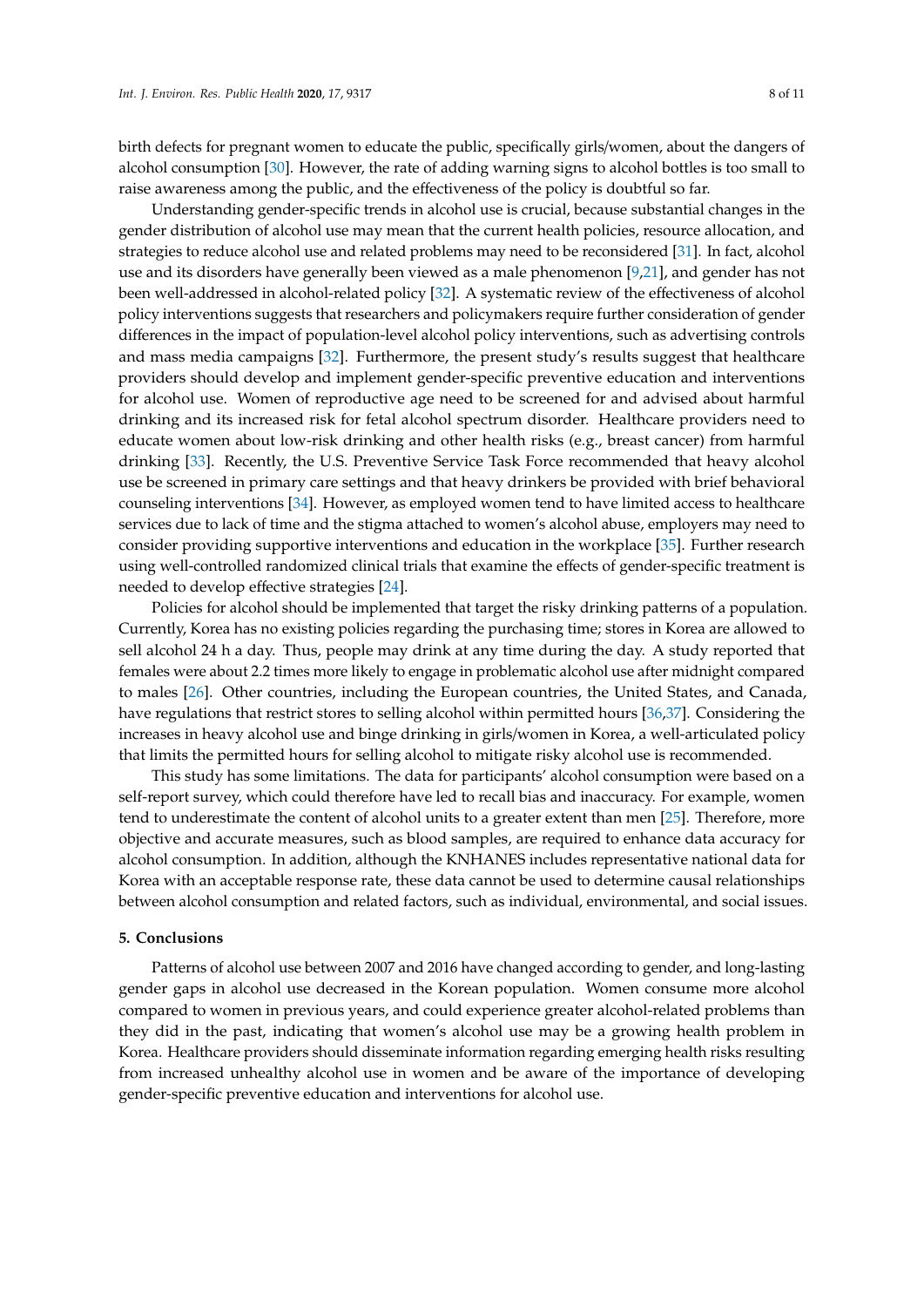birth defects for pregnant women to educate the public, specifically girls/women, about the dangers of alcohol consumption [\[30\]](#page-9-14). However, the rate of adding warning signs to alcohol bottles is too small to raise awareness among the public, and the effectiveness of the policy is doubtful so far.

Understanding gender-specific trends in alcohol use is crucial, because substantial changes in the gender distribution of alcohol use may mean that the current health policies, resource allocation, and strategies to reduce alcohol use and related problems may need to be reconsidered [\[31\]](#page-9-15). In fact, alcohol use and its disorders have generally been viewed as a male phenomenon [\[9,](#page-8-6)[21\]](#page-9-5), and gender has not been well-addressed in alcohol-related policy [\[32\]](#page-9-16). A systematic review of the effectiveness of alcohol policy interventions suggests that researchers and policymakers require further consideration of gender differences in the impact of population-level alcohol policy interventions, such as advertising controls and mass media campaigns [\[32\]](#page-9-16). Furthermore, the present study's results suggest that healthcare providers should develop and implement gender-specific preventive education and interventions for alcohol use. Women of reproductive age need to be screened for and advised about harmful drinking and its increased risk for fetal alcohol spectrum disorder. Healthcare providers need to educate women about low-risk drinking and other health risks (e.g., breast cancer) from harmful drinking [\[33\]](#page-9-17). Recently, the U.S. Preventive Service Task Force recommended that heavy alcohol use be screened in primary care settings and that heavy drinkers be provided with brief behavioral counseling interventions [\[34\]](#page-9-18). However, as employed women tend to have limited access to healthcare services due to lack of time and the stigma attached to women's alcohol abuse, employers may need to consider providing supportive interventions and education in the workplace [\[35\]](#page-9-19). Further research using well-controlled randomized clinical trials that examine the effects of gender-specific treatment is needed to develop effective strategies [\[24\]](#page-9-8).

Policies for alcohol should be implemented that target the risky drinking patterns of a population. Currently, Korea has no existing policies regarding the purchasing time; stores in Korea are allowed to sell alcohol 24 h a day. Thus, people may drink at any time during the day. A study reported that females were about 2.2 times more likely to engage in problematic alcohol use after midnight compared to males [\[26\]](#page-9-10). Other countries, including the European countries, the United States, and Canada, have regulations that restrict stores to selling alcohol within permitted hours [\[36](#page-10-0)[,37\]](#page-10-1). Considering the increases in heavy alcohol use and binge drinking in girls/women in Korea, a well-articulated policy that limits the permitted hours for selling alcohol to mitigate risky alcohol use is recommended.

This study has some limitations. The data for participants' alcohol consumption were based on a self-report survey, which could therefore have led to recall bias and inaccuracy. For example, women tend to underestimate the content of alcohol units to a greater extent than men [\[25\]](#page-9-9). Therefore, more objective and accurate measures, such as blood samples, are required to enhance data accuracy for alcohol consumption. In addition, although the KNHANES includes representative national data for Korea with an acceptable response rate, these data cannot be used to determine causal relationships between alcohol consumption and related factors, such as individual, environmental, and social issues.

#### **5. Conclusions**

Patterns of alcohol use between 2007 and 2016 have changed according to gender, and long-lasting gender gaps in alcohol use decreased in the Korean population. Women consume more alcohol compared to women in previous years, and could experience greater alcohol-related problems than they did in the past, indicating that women's alcohol use may be a growing health problem in Korea. Healthcare providers should disseminate information regarding emerging health risks resulting from increased unhealthy alcohol use in women and be aware of the importance of developing gender-specific preventive education and interventions for alcohol use.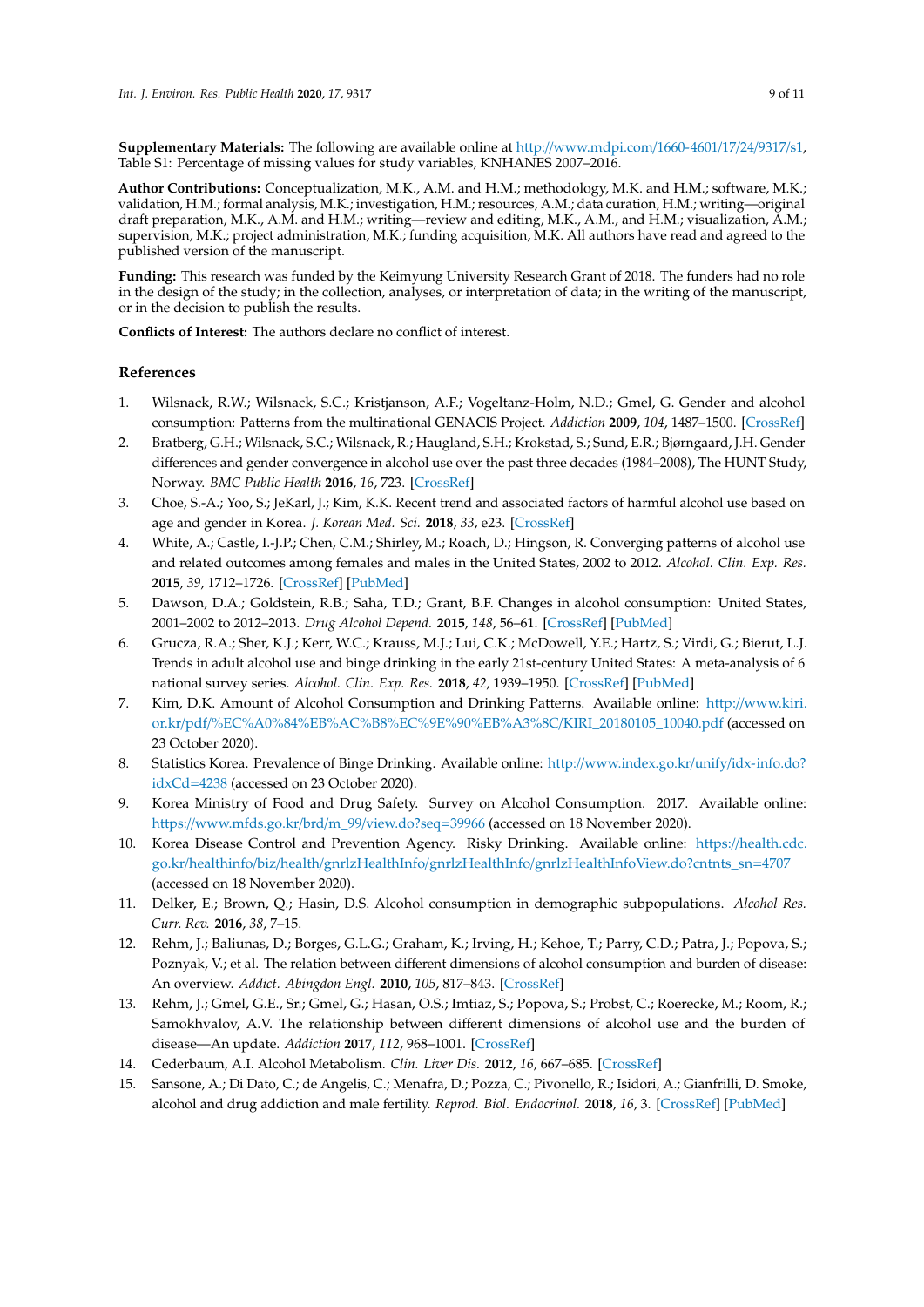**Supplementary Materials:** The following are available online at http://[www.mdpi.com](http://www.mdpi.com/1660-4601/17/24/9317/s1)/1660-4601/17/24/9317/s1, Table S1: Percentage of missing values for study variables, KNHANES 2007–2016.

**Author Contributions:** Conceptualization, M.K., A.M. and H.M.; methodology, M.K. and H.M.; software, M.K.; validation, H.M.; formal analysis, M.K.; investigation, H.M.; resources, A.M.; data curation, H.M.; writing—original draft preparation, M.K., A.M. and H.M.; writing—review and editing, M.K., A.M., and H.M.; visualization, A.M.; supervision, M.K.; project administration, M.K.; funding acquisition, M.K. All authors have read and agreed to the published version of the manuscript.

**Funding:** This research was funded by the Keimyung University Research Grant of 2018. The funders had no role in the design of the study; in the collection, analyses, or interpretation of data; in the writing of the manuscript, or in the decision to publish the results.

**Conflicts of Interest:** The authors declare no conflict of interest.

# **References**

- <span id="page-8-0"></span>1. Wilsnack, R.W.; Wilsnack, S.C.; Kristjanson, A.F.; Vogeltanz-Holm, N.D.; Gmel, G. Gender and alcohol consumption: Patterns from the multinational GENACIS Project. *Addiction* **2009**, *104*, 1487–1500. [\[CrossRef\]](http://dx.doi.org/10.1111/j.1360-0443.2009.02696.x)
- <span id="page-8-1"></span>2. Bratberg, G.H.; Wilsnack, S.C.; Wilsnack, R.; Haugland, S.H.; Krokstad, S.; Sund, E.R.; Bjørngaard, J.H. Gender differences and gender convergence in alcohol use over the past three decades (1984–2008), The HUNT Study, Norway. *BMC Public Health* **2016**, *16*, 723. [\[CrossRef\]](http://dx.doi.org/10.1186/s12889-016-3384-3)
- <span id="page-8-13"></span>3. Choe, S.-A.; Yoo, S.; JeKarl, J.; Kim, K.K. Recent trend and associated factors of harmful alcohol use based on age and gender in Korea. *J. Korean Med. Sci.* **2018**, *33*, e23. [\[CrossRef\]](http://dx.doi.org/10.3346/jkms.2018.33.e23)
- <span id="page-8-14"></span>4. White, A.; Castle, I.-J.P.; Chen, C.M.; Shirley, M.; Roach, D.; Hingson, R. Converging patterns of alcohol use and related outcomes among females and males in the United States, 2002 to 2012. *Alcohol. Clin. Exp. Res.* **2015**, *39*, 1712–1726. [\[CrossRef\]](http://dx.doi.org/10.1111/acer.12815) [\[PubMed\]](http://www.ncbi.nlm.nih.gov/pubmed/26331879)
- <span id="page-8-3"></span>5. Dawson, D.A.; Goldstein, R.B.; Saha, T.D.; Grant, B.F. Changes in alcohol consumption: United States, 2001–2002 to 2012–2013. *Drug Alcohol Depend.* **2015**, *148*, 56–61. [\[CrossRef\]](http://dx.doi.org/10.1016/j.drugalcdep.2014.12.016) [\[PubMed\]](http://www.ncbi.nlm.nih.gov/pubmed/25620731)
- <span id="page-8-2"></span>6. Grucza, R.A.; Sher, K.J.; Kerr, W.C.; Krauss, M.J.; Lui, C.K.; McDowell, Y.E.; Hartz, S.; Virdi, G.; Bierut, L.J. Trends in adult alcohol use and binge drinking in the early 21st-century United States: A meta-analysis of 6 national survey series. *Alcohol. Clin. Exp. Res.* **2018**, *42*, 1939–1950. [\[CrossRef\]](http://dx.doi.org/10.1111/acer.13859) [\[PubMed\]](http://www.ncbi.nlm.nih.gov/pubmed/30080258)
- <span id="page-8-4"></span>7. Kim, D.K. Amount of Alcohol Consumption and Drinking Patterns. Available online: http://[www.kiri.](http://www.kiri.or.kr/pdf/%EC%A0%84%EB%AC%B8%EC%9E%90%EB%A3%8C/KIRI_20180105_10040.pdf) or.kr/pdf/[%EC%A0%84%EB%AC%B8%EC%9E%90%EB%A3%8C](http://www.kiri.or.kr/pdf/%EC%A0%84%EB%AC%B8%EC%9E%90%EB%A3%8C/KIRI_20180105_10040.pdf)/KIRI\_20180105\_10040.pdf (accessed on 23 October 2020).
- <span id="page-8-5"></span>8. Statistics Korea. Prevalence of Binge Drinking. Available online: http://[www.index.go.kr](http://www.index.go.kr/unify/idx-info.do?idxCd=4238)/unify/idx-info.do? [idxCd](http://www.index.go.kr/unify/idx-info.do?idxCd=4238)=4238 (accessed on 23 October 2020).
- <span id="page-8-6"></span>9. Korea Ministry of Food and Drug Safety. Survey on Alcohol Consumption. 2017. Available online: https://[www.mfds.go.kr](https://www.mfds.go.kr/brd/m_99/view.do?seq=39966)/brd/m\_99/view.do?seq=39966 (accessed on 18 November 2020).
- <span id="page-8-7"></span>10. Korea Disease Control and Prevention Agency. Risky Drinking. Available online: https://[health.cdc.](https://health.cdc.go.kr/healthinfo/biz/health/gnrlzHealthInfo/gnrlzHealthInfo/gnrlzHealthInfoView.do?cntnts_sn=4707) go.kr/healthinfo/biz/health/gnrlzHealthInfo/gnrlzHealthInfo/[gnrlzHealthInfoView.do?cntnts\\_sn](https://health.cdc.go.kr/healthinfo/biz/health/gnrlzHealthInfo/gnrlzHealthInfo/gnrlzHealthInfoView.do?cntnts_sn=4707)=4707 (accessed on 18 November 2020).
- <span id="page-8-8"></span>11. Delker, E.; Brown, Q.; Hasin, D.S. Alcohol consumption in demographic subpopulations. *Alcohol Res. Curr. Rev.* **2016**, *38*, 7–15.
- <span id="page-8-9"></span>12. Rehm, J.; Baliunas, D.; Borges, G.L.G.; Graham, K.; Irving, H.; Kehoe, T.; Parry, C.D.; Patra, J.; Popova, S.; Poznyak, V.; et al. The relation between different dimensions of alcohol consumption and burden of disease: An overview. *Addict. Abingdon Engl.* **2010**, *105*, 817–843. [\[CrossRef\]](http://dx.doi.org/10.1111/j.1360-0443.2010.02899.x)
- <span id="page-8-10"></span>13. Rehm, J.; Gmel, G.E., Sr.; Gmel, G.; Hasan, O.S.; Imtiaz, S.; Popova, S.; Probst, C.; Roerecke, M.; Room, R.; Samokhvalov, A.V. The relationship between different dimensions of alcohol use and the burden of disease—An update. *Addiction* **2017**, *112*, 968–1001. [\[CrossRef\]](http://dx.doi.org/10.1111/add.13757)
- <span id="page-8-11"></span>14. Cederbaum, A.I. Alcohol Metabolism. *Clin. Liver Dis.* **2012**, *16*, 667–685. [\[CrossRef\]](http://dx.doi.org/10.1016/j.cld.2012.08.002)
- <span id="page-8-12"></span>15. Sansone, A.; Di Dato, C.; de Angelis, C.; Menafra, D.; Pozza, C.; Pivonello, R.; Isidori, A.; Gianfrilli, D. Smoke, alcohol and drug addiction and male fertility. *Reprod. Biol. Endocrinol.* **2018**, *16*, 3. [\[CrossRef\]](http://dx.doi.org/10.1186/s12958-018-0320-7) [\[PubMed\]](http://www.ncbi.nlm.nih.gov/pubmed/29334961)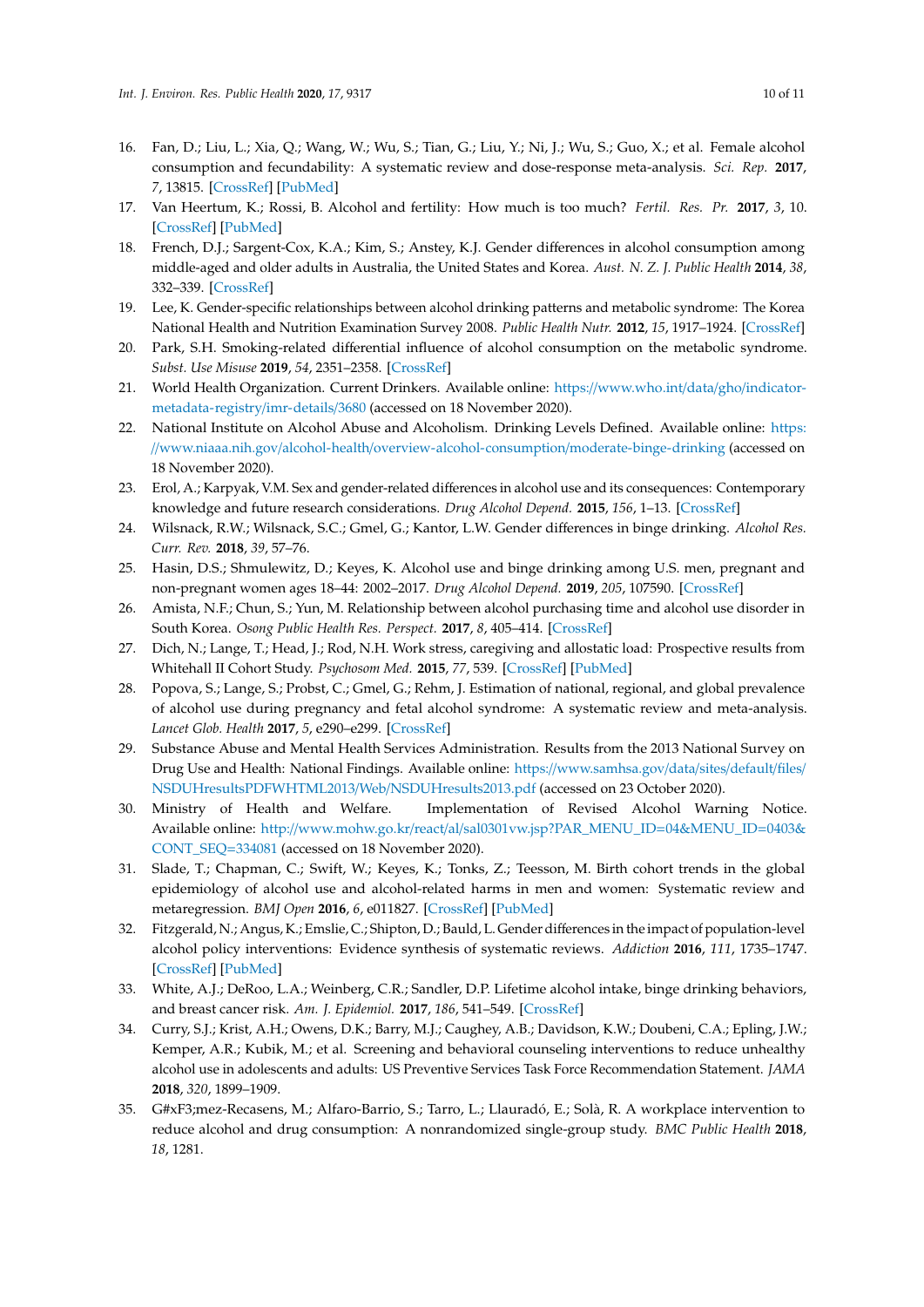- <span id="page-9-0"></span>16. Fan, D.; Liu, L.; Xia, Q.; Wang, W.; Wu, S.; Tian, G.; Liu, Y.; Ni, J.; Wu, S.; Guo, X.; et al. Female alcohol consumption and fecundability: A systematic review and dose-response meta-analysis. *Sci. Rep.* **2017**, *7*, 13815. [\[CrossRef\]](http://dx.doi.org/10.1038/s41598-017-14261-8) [\[PubMed\]](http://www.ncbi.nlm.nih.gov/pubmed/29062133)
- <span id="page-9-1"></span>17. Van Heertum, K.; Rossi, B. Alcohol and fertility: How much is too much? *Fertil. Res. Pr.* **2017**, *3*, 10. [\[CrossRef\]](http://dx.doi.org/10.1186/s40738-017-0037-x) [\[PubMed\]](http://www.ncbi.nlm.nih.gov/pubmed/28702207)
- <span id="page-9-2"></span>18. French, D.J.; Sargent-Cox, K.A.; Kim, S.; Anstey, K.J. Gender differences in alcohol consumption among middle-aged and older adults in Australia, the United States and Korea. *Aust. N. Z. J. Public Health* **2014**, *38*, 332–339. [\[CrossRef\]](http://dx.doi.org/10.1111/1753-6405.12227)
- <span id="page-9-3"></span>19. Lee, K. Gender-specific relationships between alcohol drinking patterns and metabolic syndrome: The Korea National Health and Nutrition Examination Survey 2008. *Public Health Nutr.* **2012**, *15*, 1917–1924. [\[CrossRef\]](http://dx.doi.org/10.1017/S136898001100365X)
- <span id="page-9-4"></span>20. Park, S.H. Smoking-related differential influence of alcohol consumption on the metabolic syndrome. *Subst. Use Misuse* **2019**, *54*, 2351–2358. [\[CrossRef\]](http://dx.doi.org/10.1080/10826084.2019.1648515)
- <span id="page-9-5"></span>21. World Health Organization. Current Drinkers. Available online: https://[www.who.int](https://www.who.int/data/gho/indicator-metadata-registry/imr-details/3680)/data/gho/indicator[metadata-registry](https://www.who.int/data/gho/indicator-metadata-registry/imr-details/3680)/imr-details/3680 (accessed on 18 November 2020).
- <span id="page-9-6"></span>22. National Institute on Alcohol Abuse and Alcoholism. Drinking Levels Defined. Available online: [https:](https://www.niaaa.nih.gov/alcohol-health/overview-alcohol-consumption/moderate-binge-drinking) //www.niaaa.nih.gov/alcohol-health/[overview-alcohol-consumption](https://www.niaaa.nih.gov/alcohol-health/overview-alcohol-consumption/moderate-binge-drinking)/moderate-binge-drinking (accessed on 18 November 2020).
- <span id="page-9-7"></span>23. Erol, A.; Karpyak, V.M. Sex and gender-related differences in alcohol use and its consequences: Contemporary knowledge and future research considerations. *Drug Alcohol Depend.* **2015**, *156*, 1–13. [\[CrossRef\]](http://dx.doi.org/10.1016/j.drugalcdep.2015.08.023)
- <span id="page-9-8"></span>24. Wilsnack, R.W.; Wilsnack, S.C.; Gmel, G.; Kantor, L.W. Gender differences in binge drinking. *Alcohol Res. Curr. Rev.* **2018**, *39*, 57–76.
- <span id="page-9-9"></span>25. Hasin, D.S.; Shmulewitz, D.; Keyes, K. Alcohol use and binge drinking among U.S. men, pregnant and non-pregnant women ages 18–44: 2002–2017. *Drug Alcohol Depend.* **2019**, *205*, 107590. [\[CrossRef\]](http://dx.doi.org/10.1016/j.drugalcdep.2019.107590)
- <span id="page-9-10"></span>26. Amista, N.F.; Chun, S.; Yun, M. Relationship between alcohol purchasing time and alcohol use disorder in South Korea. *Osong Public Health Res. Perspect.* **2017**, *8*, 405–414. [\[CrossRef\]](http://dx.doi.org/10.24171/j.phrp.2017.8.6.08)
- <span id="page-9-11"></span>27. Dich, N.; Lange, T.; Head, J.; Rod, N.H. Work stress, caregiving and allostatic load: Prospective results from Whitehall II Cohort Study. *Psychosom Med.* **2015**, *77*, 539. [\[CrossRef\]](http://dx.doi.org/10.1097/PSY.0000000000000191) [\[PubMed\]](http://www.ncbi.nlm.nih.gov/pubmed/25984826)
- <span id="page-9-12"></span>28. Popova, S.; Lange, S.; Probst, C.; Gmel, G.; Rehm, J. Estimation of national, regional, and global prevalence of alcohol use during pregnancy and fetal alcohol syndrome: A systematic review and meta-analysis. *Lancet Glob. Health* **2017**, *5*, e290–e299. [\[CrossRef\]](http://dx.doi.org/10.1016/S2214-109X(17)30021-9)
- <span id="page-9-13"></span>29. Substance Abuse and Mental Health Services Administration. Results from the 2013 National Survey on Drug Use and Health: National Findings. Available online: https://[www.samhsa.gov](https://www.samhsa.gov/data/sites/default/files/NSDUHresultsPDFWHTML2013/Web/NSDUHresults2013.pdf)/data/sites/default/files/ [NSDUHresultsPDFWHTML2013](https://www.samhsa.gov/data/sites/default/files/NSDUHresultsPDFWHTML2013/Web/NSDUHresults2013.pdf)/Web/NSDUHresults2013.pdf (accessed on 23 October 2020).
- <span id="page-9-14"></span>30. Ministry of Health and Welfare. Implementation of Revised Alcohol Warning Notice. Available online: http://www.mohw.go.kr/react/al/[sal0301vw.jsp?PAR\\_MENU\\_ID](http://www.mohw.go.kr/react/al/sal0301vw.jsp?PAR_MENU_ID=04&MENU_ID=0403&CONT_SEQ=334081)=04&MENU\_ID=0403& [CONT\\_SEQ](http://www.mohw.go.kr/react/al/sal0301vw.jsp?PAR_MENU_ID=04&MENU_ID=0403&CONT_SEQ=334081)=334081 (accessed on 18 November 2020).
- <span id="page-9-15"></span>31. Slade, T.; Chapman, C.; Swift, W.; Keyes, K.; Tonks, Z.; Teesson, M. Birth cohort trends in the global epidemiology of alcohol use and alcohol-related harms in men and women: Systematic review and metaregression. *BMJ Open* **2016**, *6*, e011827. [\[CrossRef\]](http://dx.doi.org/10.1136/bmjopen-2016-011827) [\[PubMed\]](http://www.ncbi.nlm.nih.gov/pubmed/27797998)
- <span id="page-9-16"></span>32. Fitzgerald, N.; Angus, K.; Emslie, C.; Shipton, D.; Bauld, L. Gender differences in the impact of population-level alcohol policy interventions: Evidence synthesis of systematic reviews. *Addiction* **2016**, *111*, 1735–1747. [\[CrossRef\]](http://dx.doi.org/10.1111/add.13452) [\[PubMed\]](http://www.ncbi.nlm.nih.gov/pubmed/27177685)
- <span id="page-9-17"></span>33. White, A.J.; DeRoo, L.A.; Weinberg, C.R.; Sandler, D.P. Lifetime alcohol intake, binge drinking behaviors, and breast cancer risk. *Am. J. Epidemiol.* **2017**, *186*, 541–549. [\[CrossRef\]](http://dx.doi.org/10.1093/aje/kwx118)
- <span id="page-9-18"></span>34. Curry, S.J.; Krist, A.H.; Owens, D.K.; Barry, M.J.; Caughey, A.B.; Davidson, K.W.; Doubeni, C.A.; Epling, J.W.; Kemper, A.R.; Kubik, M.; et al. Screening and behavioral counseling interventions to reduce unhealthy alcohol use in adolescents and adults: US Preventive Services Task Force Recommendation Statement. *JAMA* **2018**, *320*, 1899–1909.
- <span id="page-9-19"></span>35. G#xF3;mez-Recasens, M.; Alfaro-Barrio, S.; Tarro, L.; Llauradó, E.; Solà, R. A workplace intervention to reduce alcohol and drug consumption: A nonrandomized single-group study. *BMC Public Health* **2018**, *18*, 1281.